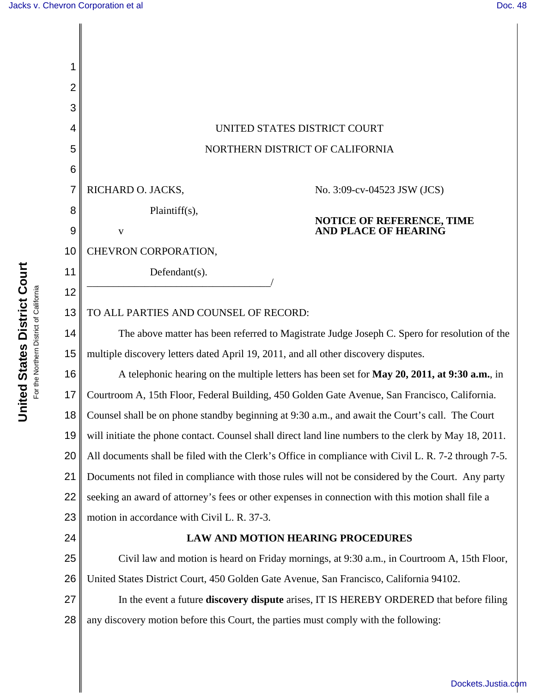| 1              |                                                                                                       |  |  |  |
|----------------|-------------------------------------------------------------------------------------------------------|--|--|--|
| $\overline{2}$ |                                                                                                       |  |  |  |
| 3              |                                                                                                       |  |  |  |
| 4              | UNITED STATES DISTRICT COURT                                                                          |  |  |  |
| 5              | NORTHERN DISTRICT OF CALIFORNIA                                                                       |  |  |  |
| 6              |                                                                                                       |  |  |  |
| $\overline{7}$ | RICHARD O. JACKS,<br>No. 3:09-cv-04523 JSW (JCS)                                                      |  |  |  |
| 8              | Plaintiff(s),<br><b>NOTICE OF REFERENCE, TIME</b>                                                     |  |  |  |
| 9              | <b>AND PLACE OF HEARING</b><br>$\mathbf{V}$                                                           |  |  |  |
| 10             | CHEVRON CORPORATION,                                                                                  |  |  |  |
| 11             | Defendant(s).                                                                                         |  |  |  |
| 12             |                                                                                                       |  |  |  |
| 13             | TO ALL PARTIES AND COUNSEL OF RECORD:                                                                 |  |  |  |
| 14             | The above matter has been referred to Magistrate Judge Joseph C. Spero for resolution of the          |  |  |  |
| 15             | multiple discovery letters dated April 19, 2011, and all other discovery disputes.                    |  |  |  |
| 16             | A telephonic hearing on the multiple letters has been set for May 20, 2011, at 9:30 a.m., in          |  |  |  |
| 17             | Courtroom A, 15th Floor, Federal Building, 450 Golden Gate Avenue, San Francisco, California.         |  |  |  |
| 18             | Counsel shall be on phone standby beginning at 9:30 a.m., and await the Court's call. The Court       |  |  |  |
| 19             | will initiate the phone contact. Counsel shall direct land line numbers to the clerk by May 18, 2011. |  |  |  |
| 20             | All documents shall be filed with the Clerk's Office in compliance with Civil L. R. 7-2 through 7-5.  |  |  |  |
| 21             | Documents not filed in compliance with those rules will not be considered by the Court. Any party     |  |  |  |
| 22             | seeking an award of attorney's fees or other expenses in connection with this motion shall file a     |  |  |  |
| 23             | motion in accordance with Civil L. R. 37-3.                                                           |  |  |  |
| 24             | <b>LAW AND MOTION HEARING PROCEDURES</b>                                                              |  |  |  |
| 25             | Civil law and motion is heard on Friday mornings, at 9:30 a.m., in Courtroom A, 15th Floor,           |  |  |  |
| 26             | United States District Court, 450 Golden Gate Avenue, San Francisco, California 94102.                |  |  |  |
| 27             | In the event a future <b>discovery dispute</b> arises, IT IS HEREBY ORDERED that before filing        |  |  |  |
| 28             | any discovery motion before this Court, the parties must comply with the following:                   |  |  |  |
|                |                                                                                                       |  |  |  |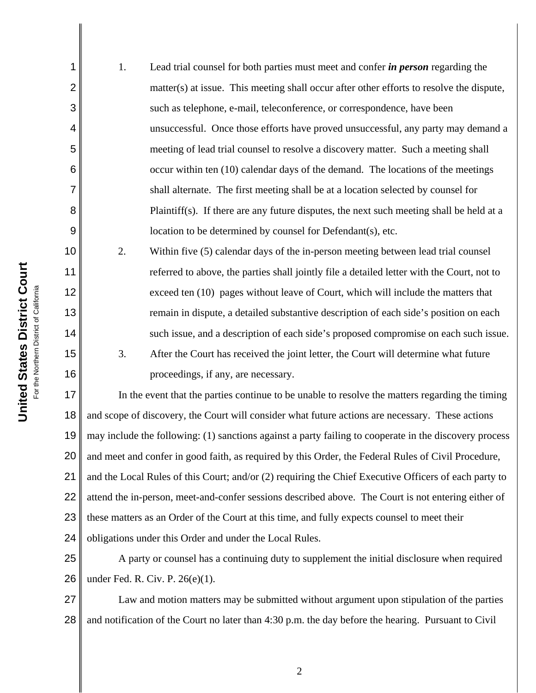| United States District Court<br>For the Northern District of California |                                          |         |
|-------------------------------------------------------------------------|------------------------------------------|---------|
|                                                                         |                                          |         |
|                                                                         | 3 4 5 6 7 8 9 10 11 12 13 14 15 16 17 18 |         |
|                                                                         |                                          | and sco |

1

2

1. Lead trial counsel for both parties must meet and confer *in person* regarding the matter(s) at issue. This meeting shall occur after other efforts to resolve the dispute, such as telephone, e-mail, teleconference, or correspondence, have been unsuccessful. Once those efforts have proved unsuccessful, any party may demand a meeting of lead trial counsel to resolve a discovery matter. Such a meeting shall occur within ten (10) calendar days of the demand. The locations of the meetings shall alternate. The first meeting shall be at a location selected by counsel for Plaintiff(s). If there are any future disputes, the next such meeting shall be held at a location to be determined by counsel for Defendant(s), etc.

2. Within five (5) calendar days of the in-person meeting between lead trial counsel referred to above, the parties shall jointly file a detailed letter with the Court, not to exceed ten (10) pages without leave of Court, which will include the matters that remain in dispute, a detailed substantive description of each side's position on each such issue, and a description of each side's proposed compromise on each such issue. 3. After the Court has received the joint letter, the Court will determine what future proceedings, if any, are necessary.

19 20 21 22 23 24 In the event that the parties continue to be unable to resolve the matters regarding the timing and scope of discovery, the Court will consider what future actions are necessary. These actions may include the following: (1) sanctions against a party failing to cooperate in the discovery process and meet and confer in good faith, as required by this Order, the Federal Rules of Civil Procedure, and the Local Rules of this Court; and/or (2) requiring the Chief Executive Officers of each party to attend the in-person, meet-and-confer sessions described above. The Court is not entering either of these matters as an Order of the Court at this time, and fully expects counsel to meet their obligations under this Order and under the Local Rules.

25 26 A party or counsel has a continuing duty to supplement the initial disclosure when required under Fed. R. Civ. P. 26(e)(1).

27 28 Law and motion matters may be submitted without argument upon stipulation of the parties and notification of the Court no later than 4:30 p.m. the day before the hearing. Pursuant to Civil

2